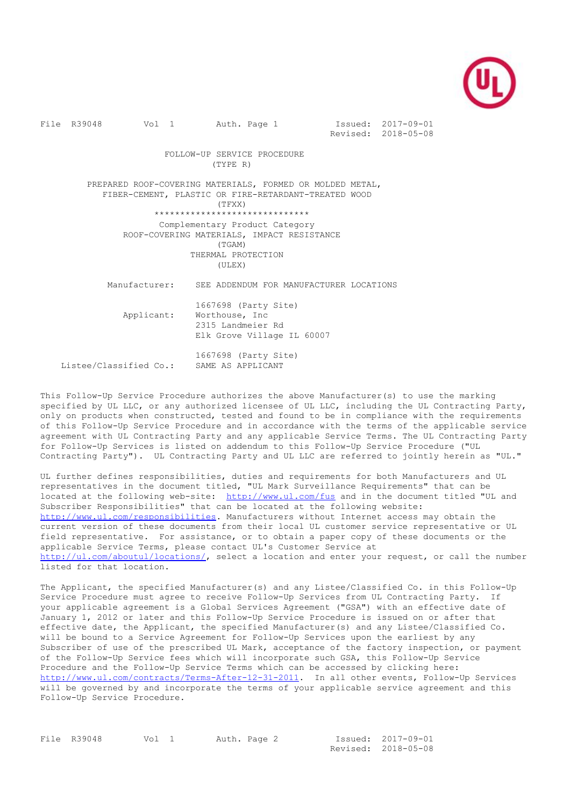

File R39048 Vol 1 Auth. Page 1 Issued: 2017-09-01<br>Revised: 2018-05-08 FOLLOW-UP SERVICE PROCEDURE (TYPE R) PREPARED ROOF-COVERING MATERIALS, FORMED OR MOLDED METAL, FIBER-CEMENT, PLASTIC OR FIRE-RETARDANT-TREATED WOOD (TFXX) \*\*\*\*\*\*\*\*\*\*\*\*\*\*\*\*\*\*\*\*\*\*\*\*\*\*\*\*\*\* Complementary Product Category ROOF-COVERING MATERIALS, IMPACT RESISTANCE (TGAM) THERMAL PROTECTION  $(III.EX)$  Manufacturer: SEE ADDENDUM FOR MANUFACTURER LOCATIONS 1667698 (Party Site) Applicant: Worthouse, Inc 2315 Landmeier Rd Elk Grove Village IL 60007 1667698 (Party Site) Listee/Classified Co.:

This Follow-Up Service Procedure authorizes the above Manufacturer(s) to use the marking specified by UL LLC, or any authorized licensee of UL LLC, including the UL Contracting Party, only on products when constructed, tested and found to be in compliance with the requirements of this Follow-Up Service Procedure and in accordance with the terms of the applicable service agreement with UL Contracting Party and any applicable Service Terms. The UL Contracting Party for Follow-Up Services is listed on addendum to this Follow-Up Service Procedure ("UL Contracting Party"). UL Contracting Party and UL LLC are referred to jointly herein as "UL."

UL further defines responsibilities, duties and requirements for both Manufacturers and UL representatives in the document titled, "UL Mark Surveillance Requirements" that can be located at the following web-site: http://www.ul.com/fus and in the document titled "UL and Subscriber Responsibilities" that can be located at the following website: http://www.ul.com/responsibilities</u>. Manufacturers without Internet access may obtain the current version of these documents from their local UL customer service representative or UL field representative. For assistance, or to obtain a paper copy of these documents or the applicable Service Terms, please contact UL's Customer Service at http://ul.com/aboutul/locations/, select a location and enter your request, or call the number listed for that location.

The Applicant, the specified Manufacturer(s) and any Listee/Classified Co. in this Follow-Up Service Procedure must agree to receive Follow-Up Services from UL Contracting Party. If your applicable agreement is a Global Services Agreement ("GSA") with an effective date of January 1, 2012 or later and this Follow-Up Service Procedure is issued on or after that effective date, the Applicant, the specified Manufacturer(s) and any Listee/Classified Co. will be bound to a Service Agreement for Follow-Up Services upon the earliest by any Subscriber of use of the prescribed UL Mark, acceptance of the factory inspection, or payment of the Follow-Up Service fees which will incorporate such GSA, this Follow-Up Service Procedure and the Follow-Up Service Terms which can be accessed by clicking here: http://www.ul.com/contracts/Terms-After-12-31-2011. In all other events, Follow-Up Services will be governed by and incorporate the terms of your applicable service agreement and this Follow-Up Service Procedure.

| File R39048 | Vol 1 | Auth. Page 2 | Issued: 2017-09-01  |
|-------------|-------|--------------|---------------------|
|             |       |              | Revised: 2018-05-08 |